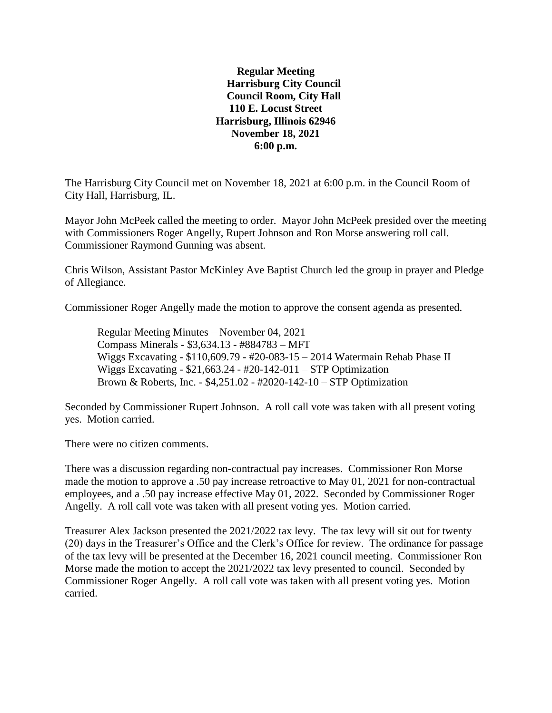**Regular Meeting Harrisburg City Council Council Room, City Hall 110 E. Locust Street Harrisburg, Illinois 62946 November 18, 2021 6:00 p.m.**

The Harrisburg City Council met on November 18, 2021 at 6:00 p.m. in the Council Room of City Hall, Harrisburg, IL.

Mayor John McPeek called the meeting to order. Mayor John McPeek presided over the meeting with Commissioners Roger Angelly, Rupert Johnson and Ron Morse answering roll call. Commissioner Raymond Gunning was absent.

Chris Wilson, Assistant Pastor McKinley Ave Baptist Church led the group in prayer and Pledge of Allegiance.

Commissioner Roger Angelly made the motion to approve the consent agenda as presented.

Regular Meeting Minutes – November 04, 2021 Compass Minerals - \$3,634.13 - #884783 – MFT Wiggs Excavating - \$110,609.79 - #20-083-15 – 2014 Watermain Rehab Phase II Wiggs Excavating - \$21,663.24 - #20-142-011 – STP Optimization Brown & Roberts, Inc. - \$4,251.02 - #2020-142-10 – STP Optimization

Seconded by Commissioner Rupert Johnson. A roll call vote was taken with all present voting yes. Motion carried.

There were no citizen comments.

There was a discussion regarding non-contractual pay increases. Commissioner Ron Morse made the motion to approve a .50 pay increase retroactive to May 01, 2021 for non-contractual employees, and a .50 pay increase effective May 01, 2022. Seconded by Commissioner Roger Angelly. A roll call vote was taken with all present voting yes. Motion carried.

Treasurer Alex Jackson presented the 2021/2022 tax levy. The tax levy will sit out for twenty (20) days in the Treasurer's Office and the Clerk's Office for review. The ordinance for passage of the tax levy will be presented at the December 16, 2021 council meeting. Commissioner Ron Morse made the motion to accept the 2021/2022 tax levy presented to council. Seconded by Commissioner Roger Angelly. A roll call vote was taken with all present voting yes. Motion carried.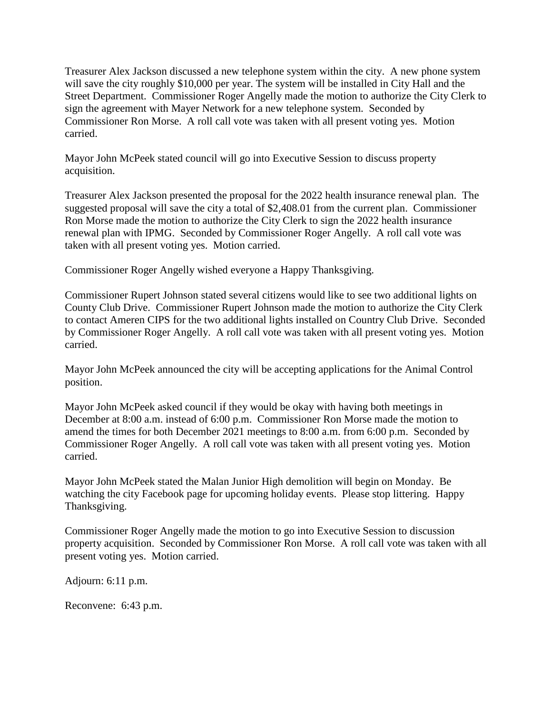Treasurer Alex Jackson discussed a new telephone system within the city. A new phone system will save the city roughly \$10,000 per year. The system will be installed in City Hall and the Street Department. Commissioner Roger Angelly made the motion to authorize the City Clerk to sign the agreement with Mayer Network for a new telephone system. Seconded by Commissioner Ron Morse. A roll call vote was taken with all present voting yes. Motion carried.

Mayor John McPeek stated council will go into Executive Session to discuss property acquisition.

Treasurer Alex Jackson presented the proposal for the 2022 health insurance renewal plan. The suggested proposal will save the city a total of \$2,408.01 from the current plan. Commissioner Ron Morse made the motion to authorize the City Clerk to sign the 2022 health insurance renewal plan with IPMG. Seconded by Commissioner Roger Angelly. A roll call vote was taken with all present voting yes. Motion carried.

Commissioner Roger Angelly wished everyone a Happy Thanksgiving.

Commissioner Rupert Johnson stated several citizens would like to see two additional lights on County Club Drive. Commissioner Rupert Johnson made the motion to authorize the City Clerk to contact Ameren CIPS for the two additional lights installed on Country Club Drive. Seconded by Commissioner Roger Angelly. A roll call vote was taken with all present voting yes. Motion carried.

Mayor John McPeek announced the city will be accepting applications for the Animal Control position.

Mayor John McPeek asked council if they would be okay with having both meetings in December at 8:00 a.m. instead of 6:00 p.m. Commissioner Ron Morse made the motion to amend the times for both December 2021 meetings to 8:00 a.m. from 6:00 p.m. Seconded by Commissioner Roger Angelly. A roll call vote was taken with all present voting yes. Motion carried.

Mayor John McPeek stated the Malan Junior High demolition will begin on Monday. Be watching the city Facebook page for upcoming holiday events. Please stop littering. Happy Thanksgiving.

Commissioner Roger Angelly made the motion to go into Executive Session to discussion property acquisition. Seconded by Commissioner Ron Morse. A roll call vote was taken with all present voting yes. Motion carried.

Adjourn: 6:11 p.m.

Reconvene: 6:43 p.m.